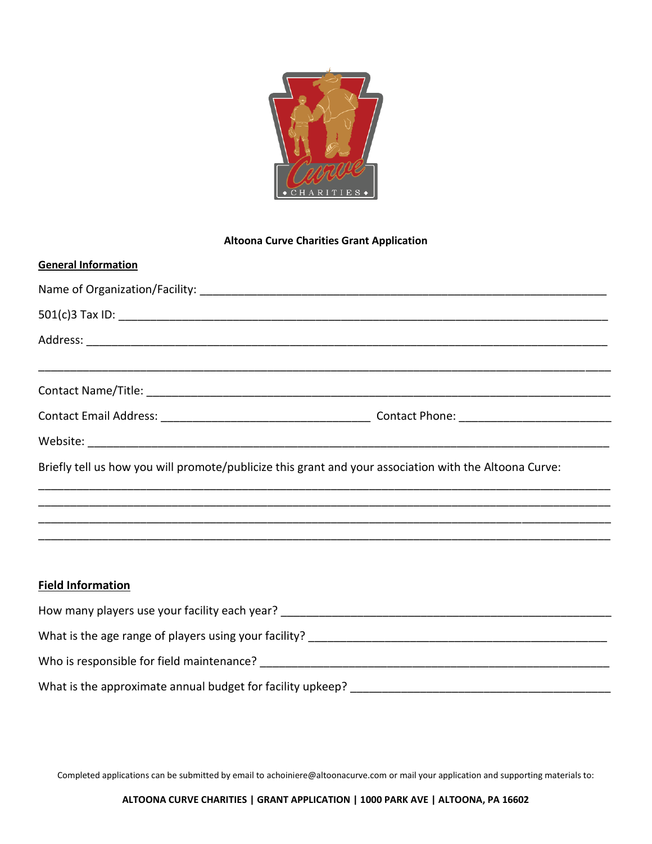

## **Altoona Curve Charities Grant Application**

| <b>General Information</b>                                                                                               |  |  |
|--------------------------------------------------------------------------------------------------------------------------|--|--|
|                                                                                                                          |  |  |
|                                                                                                                          |  |  |
|                                                                                                                          |  |  |
|                                                                                                                          |  |  |
|                                                                                                                          |  |  |
|                                                                                                                          |  |  |
|                                                                                                                          |  |  |
| Briefly tell us how you will promote/publicize this grant and your association with the Altoona Curve:                   |  |  |
|                                                                                                                          |  |  |
|                                                                                                                          |  |  |
|                                                                                                                          |  |  |
| <b>Field Information</b>                                                                                                 |  |  |
| The second state of the second state $\mathcal{O}_\mathcal{A}$ . The state of the second state $\mathcal{O}_\mathcal{A}$ |  |  |

| How many players use your facility each year?              |
|------------------------------------------------------------|
| What is the age range of players using your facility?      |
| Who is responsible for field maintenance?                  |
| What is the approximate annual budget for facility upkeep? |

Completed applications can be submitted by email t[o achoiniere@altoonacurve.com](mailto:achoiniere@altoonacurve.com) or mail your application and supporting materials to: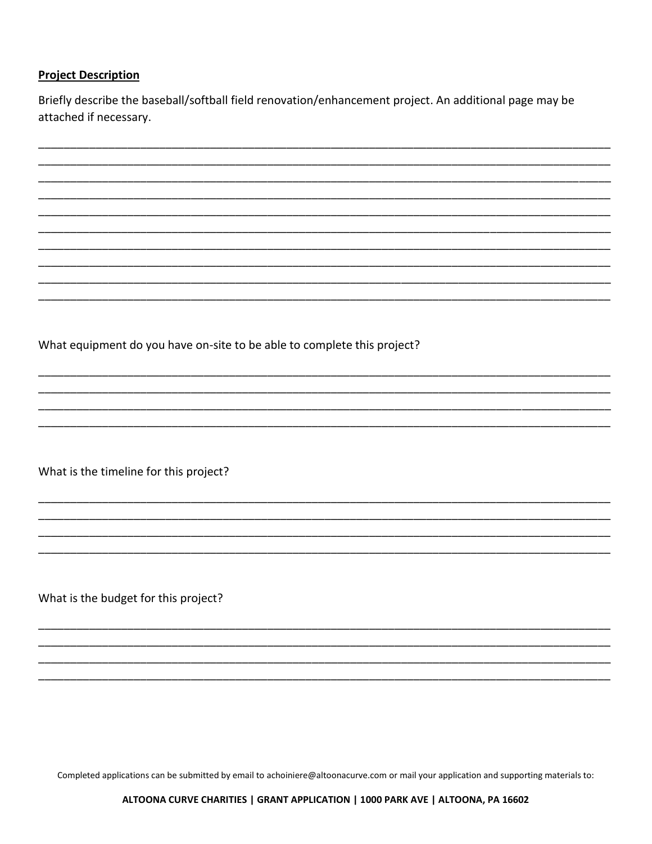## **Project Description**

Briefly describe the baseball/softball field renovation/enhancement project. An additional page may be attached if necessary.

What equipment do you have on-site to be able to complete this project?

What is the timeline for this project?

What is the budget for this project?

Completed applications can be submitted by email to achoiniere@altoonacurve.com or mail your application and supporting materials to:

ALTOONA CURVE CHARITIES | GRANT APPLICATION | 1000 PARK AVE | ALTOONA, PA 16602